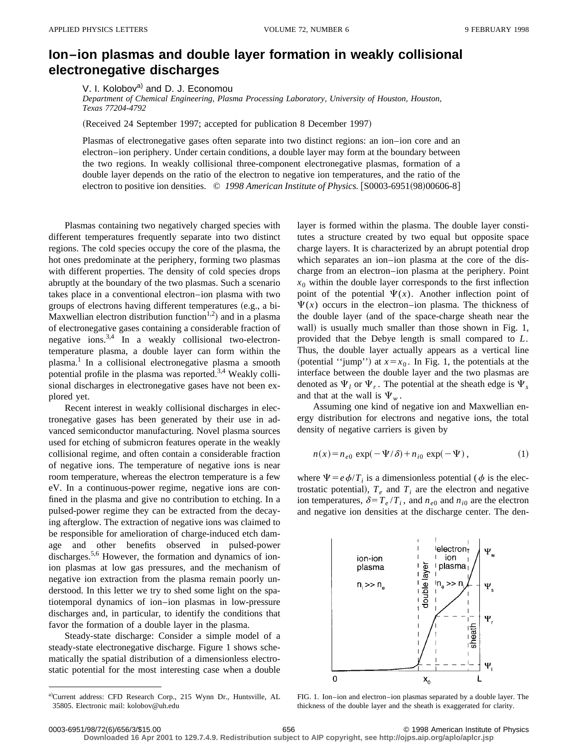## **Ion–ion plasmas and double layer formation in weakly collisional electronegative discharges**

V. I. Kolobov<sup>a)</sup> and D. J. Economou

*Department of Chemical Engineering, Plasma Processing Laboratory, University of Houston, Houston, Texas 77204-4792*

(Received 24 September 1997; accepted for publication 8 December 1997)

Plasmas of electronegative gases often separate into two distinct regions: an ion–ion core and an electron–ion periphery. Under certain conditions, a double layer may form at the boundary between the two regions. In weakly collisional three-component electronegative plasmas, formation of a double layer depends on the ratio of the electron to negative ion temperatures, and the ratio of the electron to positive ion densities. © 1998 American Institute of Physics. [S0003-6951(98)00606-8]

Plasmas containing two negatively charged species with different temperatures frequently separate into two distinct regions. The cold species occupy the core of the plasma, the hot ones predominate at the periphery, forming two plasmas with different properties. The density of cold species drops abruptly at the boundary of the two plasmas. Such a scenario takes place in a conventional electron–ion plasma with two groups of electrons having different temperatures (e.g., a bi-Maxwellian electron distribution function<sup>1,2</sup>) and in a plasma of electronegative gases containing a considerable fraction of negative ions. $3,4$  In a weakly collisional two-electrontemperature plasma, a double layer can form within the plasma.<sup>1</sup> In a collisional electronegative plasma a smooth potential profile in the plasma was reported.<sup>3,4</sup> Weakly collisional discharges in electronegative gases have not been explored yet.

Recent interest in weakly collisional discharges in electronegative gases has been generated by their use in advanced semiconductor manufacturing. Novel plasma sources used for etching of submicron features operate in the weakly collisional regime, and often contain a considerable fraction of negative ions. The temperature of negative ions is near room temperature, whereas the electron temperature is a few eV. In a continuous-power regime, negative ions are confined in the plasma and give no contribution to etching. In a pulsed-power regime they can be extracted from the decaying afterglow. The extraction of negative ions was claimed to be responsible for amelioration of charge-induced etch damage and other benefits observed in pulsed-power discharges.<sup>5,6</sup> However, the formation and dynamics of ionion plasmas at low gas pressures, and the mechanism of negative ion extraction from the plasma remain poorly understood. In this letter we try to shed some light on the spatiotemporal dynamics of ion–ion plasmas in low-pressure discharges and, in particular, to identify the conditions that favor the formation of a double layer in the plasma.

Steady-state discharge: Consider a simple model of a steady-state electronegative discharge. Figure 1 shows schematically the spatial distribution of a dimensionless electrostatic potential for the most interesting case when a double layer is formed within the plasma. The double layer constitutes a structure created by two equal but opposite space charge layers. It is characterized by an abrupt potential drop which separates an ion–ion plasma at the core of the discharge from an electron–ion plasma at the periphery. Point  $x<sub>0</sub>$  within the double layer corresponds to the first inflection point of the potential  $\Psi(x)$ . Another inflection point of  $\Psi(x)$  occurs in the electron–ion plasma. The thickness of the double layer (and of the space-charge sheath near the wall) is usually much smaller than those shown in Fig. 1, provided that the Debye length is small compared to *L*. Thus, the double layer actually appears as a vertical line (potential "jump") at  $x=x_0$ . In Fig. 1, the potentials at the interface between the double layer and the two plasmas are denoted as  $\Psi_l$  or  $\Psi_r$ . The potential at the sheath edge is  $\Psi_s$ and that at the wall is  $\Psi_w$ .

Assuming one kind of negative ion and Maxwellian energy distribution for electrons and negative ions, the total density of negative carriers is given by

$$
n(x) = n_{e0} \exp(-\Psi/\delta) + n_{i0} \exp(-\Psi), \qquad (1)
$$

where  $\Psi = e \phi / T_i$  is a dimensionless potential ( $\phi$  is the electrostatic potential),  $T_e$  and  $T_i$  are the electron and negative ion temperatures,  $\delta = T_e / T_i$ , and  $n_{e0}$  and  $n_{i0}$  are the electron and negative ion densities at the discharge center. The den-



FIG. 1. Ion–ion and electron–ion plasmas separated by a double layer. The thickness of the double layer and the sheath is exaggerated for clarity.

**Downloaded 16 Apr 2001 to 129.7.4.9. Redistribution subject to AIP copyright, see http://ojps.aip.org/aplo/aplcr.jsp**

a)Current address: CFD Research Corp., 215 Wynn Dr., Huntsville, AL 35805. Electronic mail: kolobov@uh.edu

<sup>0003-6951/98/72(6)/656/3/\$15.00</sup> 656 © 1998 American Institute of Physics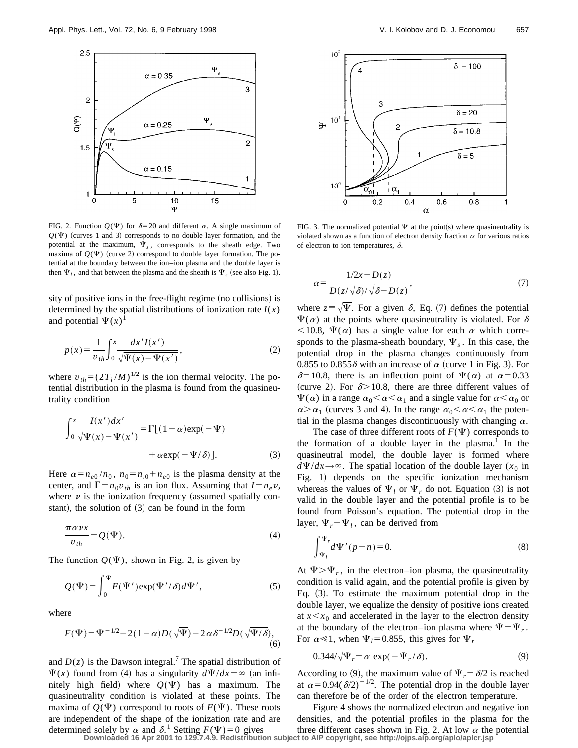

FIG. 2. Function  $Q(\Psi)$  for  $\delta=20$  and different  $\alpha$ . A single maximum of  $Q(\Psi)$  (curves 1 and 3) corresponds to no double layer formation, and the potential at the maximum,  $\Psi_s$ , corresponds to the sheath edge. Two maxima of  $Q(\Psi)$  (curve 2) correspond to double layer formation. The potential at the boundary between the ion–ion plasma and the double layer is then  $\Psi_l$ , and that between the plasma and the sheath is  $\Psi_s$  (see also Fig. 1).

sity of positive ions in the free-flight regime (no collisions) is determined by the spatial distributions of ionization rate  $I(x)$ and potential  $\Psi(x)$ <sup>1</sup>

$$
p(x) = \frac{1}{v_{th}} \int_0^x \frac{dx'I(x')}{\sqrt{\Psi(x) - \Psi(x')}}\,,\tag{2}
$$

where  $v_{th} = (2T_i/M)^{1/2}$  is the ion thermal velocity. The potential distribution in the plasma is found from the quasineutrality condition

$$
\int_0^x \frac{I(x')dx'}{\sqrt{\Psi(x) - \Psi(x')}} = \Gamma[(1 - \alpha) \exp(-\Psi) + \alpha \exp(-\Psi/\delta)].
$$
\n(3)

Here  $\alpha = n_{e0} / n_0$ ,  $n_0 = n_{i0} + n_{e0}$  is the plasma density at the center, and  $\Gamma = n_0 v_{th}$  is an ion flux. Assuming that  $I = n_e v$ , where  $\nu$  is the ionization frequency (assumed spatially constant), the solution of  $(3)$  can be found in the form

$$
\frac{\pi \alpha \nu x}{v_{th}} = Q(\Psi). \tag{4}
$$

The function  $Q(\Psi)$ , shown in Fig. 2, is given by

$$
Q(\Psi) = \int_0^{\Psi} F(\Psi') \exp(\Psi'/\delta) d\Psi', \qquad (5)
$$

where

$$
F(\Psi) = \Psi^{-1/2} - 2(1 - \alpha)D(\sqrt{\Psi}) - 2\alpha \delta^{-1/2}D(\sqrt{\Psi/\delta}),
$$
\n(6)

and  $D(z)$  is the Dawson integral.<sup>7</sup> The spatial distribution of  $\Psi(x)$  found from (4) has a singularity  $d\Psi/dx = \infty$  (an infinitely high field) where  $Q(\Psi)$  has a maximum. The quasineutrality condition is violated at these points. The maxima of  $O(\Psi)$  correspond to roots of  $F(\Psi)$ . These roots are independent of the shape of the ionization rate and are



FIG. 3. The normalized potential  $\Psi$  at the point(s) where quasineutrality is violated shown as a function of electron density fraction  $\alpha$  for various ratios of electron to ion temperatures,  $\delta$ .

$$
\alpha = \frac{1/2x - D(z)}{D(z/\sqrt{\delta})/\sqrt{\delta} - D(z)},\tag{7}
$$

where  $z = \sqrt{\Psi}$ . For a given  $\delta$ , Eq. (7) defines the potential  $\Psi(\alpha)$  at the points where quasineutrality is violated. For  $\delta$  $<$ 10.8,  $\Psi(\alpha)$  has a single value for each  $\alpha$  which corresponds to the plasma-sheath boundary,  $\Psi_s$ . In this case, the potential drop in the plasma changes continuously from 0.855 to 0.855 $\delta$  with an increase of  $\alpha$  (curve 1 in Fig. 3). For  $\delta$ =10.8, there is an inflection point of  $\Psi(\alpha)$  at  $\alpha$ =0.33 (curve 2). For  $\delta$  > 10.8, there are three different values of  $\Psi(\alpha)$  in a range  $\alpha_0<\alpha<\alpha_1$  and a single value for  $\alpha<\alpha_0$  or  $\alpha > \alpha_1$  (curves 3 and 4). In the range  $\alpha_0 < \alpha < \alpha_1$  the potential in the plasma changes discontinuously with changing  $\alpha$ .

The case of three different roots of  $F(\Psi)$  corresponds to the formation of a double layer in the plasma.<sup>1</sup> In the quasineutral model, the double layer is formed where  $d\Psi/dx \rightarrow \infty$ . The spatial location of the double layer (*x*<sub>0</sub> in Fig. 1) depends on the specific ionization mechanism whereas the values of  $\Psi_l$  or  $\Psi_r$  do not. Equation (3) is not valid in the double layer and the potential profile is to be found from Poisson's equation. The potential drop in the layer,  $\Psi_r - \Psi_l$ , can be derived from

$$
\int_{\Psi_l}^{\Psi_r} d\Psi'(p-n) = 0.
$$
 (8)

At  $\Psi > \Psi_r$ , in the electron–ion plasma, the quasineutrality condition is valid again, and the potential profile is given by Eq.  $(3)$ . To estimate the maximum potential drop in the double layer, we equalize the density of positive ions created at  $x \leq x_0$  and accelerated in the layer to the electron density at the boundary of the electron–ion plasma where  $\Psi = \Psi_r$ . For  $\alpha \ll 1$ , when  $\Psi_l = 0.855$ , this gives for  $\Psi_r$ 

$$
0.344/\sqrt{\Psi_r} = \alpha \, \exp(-\Psi_r/\delta). \tag{9}
$$

According to (9), the maximum value of  $\Psi_r = \delta/2$  is reached at  $\alpha$ =0.94( $\delta$ /2)<sup>-1/2</sup>. The potential drop in the double layer can therefore be of the order of the electron temperature.

determined solely by  $\alpha$  and  $\delta$ .<sup>1</sup> Setting  $F(\Psi) = 0$  gives three different cases shown in Fig. 2. At low  $\alpha$  the Downloaded 16 Apr 2001 to 129.7.4.9. Redistribution subject to AIP copyright, see http://ojps.aip.org/a Figure 4 shows the normalized electron and negative ion densities, and the potential profiles in the plasma for the three different cases shown in Fig. 2. At low  $\alpha$  the potential